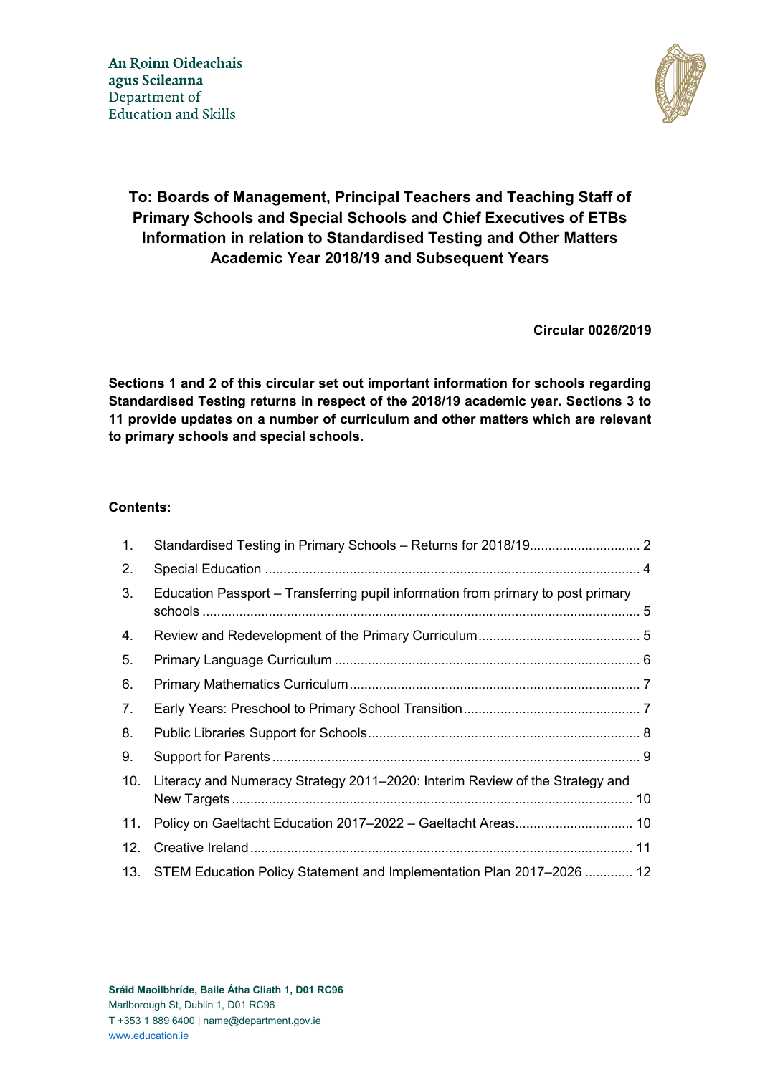

# **To: Boards of Management, Principal Teachers and Teaching Staff of Primary Schools and Special Schools and Chief Executives of ETBs Information in relation to Standardised Testing and Other Matters Academic Year 2018/19 and Subsequent Years**

**Circular 0026/2019**

**Sections 1 and 2 of this circular set out important information for schools regarding Standardised Testing returns in respect of the 2018/19 academic year. Sections 3 to 11 provide updates on a number of curriculum and other matters which are relevant to primary schools and special schools.**

#### **Contents:**

| $\mathbf{1}$ . |                                                                                  |  |
|----------------|----------------------------------------------------------------------------------|--|
| 2.             |                                                                                  |  |
| 3.             | Education Passport – Transferring pupil information from primary to post primary |  |
| 4.             |                                                                                  |  |
| 5.             |                                                                                  |  |
| 6.             |                                                                                  |  |
| 7.             |                                                                                  |  |
| 8.             |                                                                                  |  |
| 9.             |                                                                                  |  |
| 10.            | Literacy and Numeracy Strategy 2011–2020: Interim Review of the Strategy and     |  |
| 11.            |                                                                                  |  |
| 12.            |                                                                                  |  |
| 13.            | STEM Education Policy Statement and Implementation Plan 2017–2026  12            |  |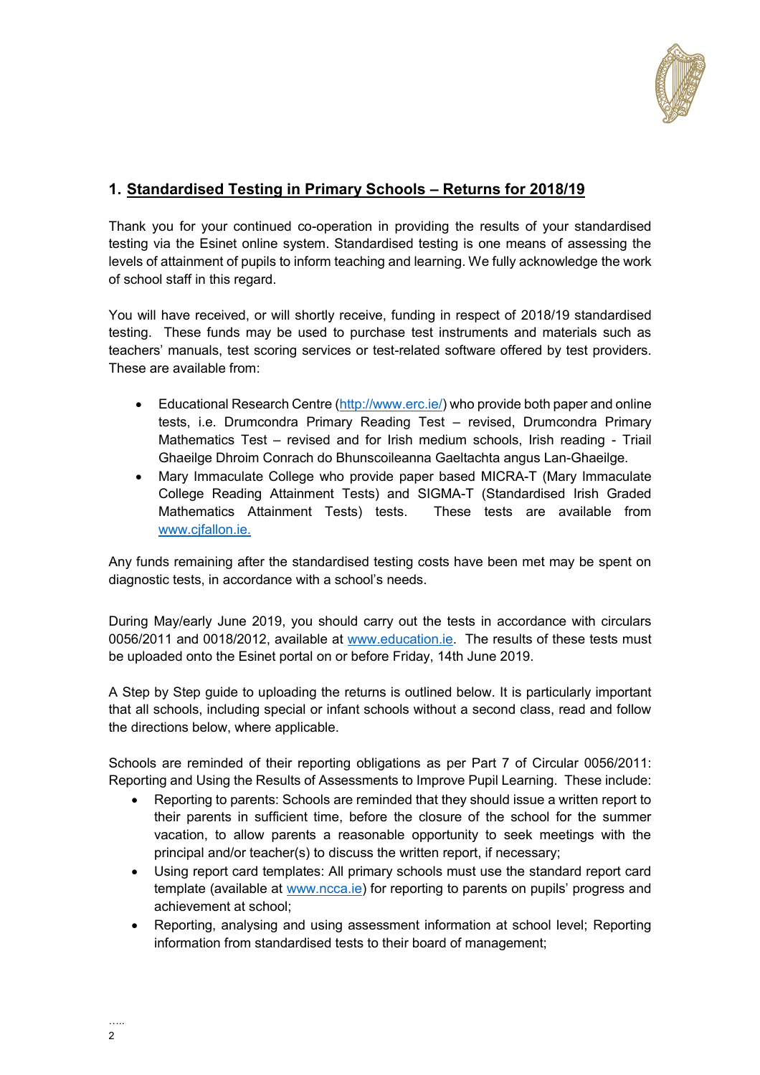

### <span id="page-1-0"></span>**1. Standardised Testing in Primary Schools – Returns for 2018/19**

Thank you for your continued co-operation in providing the results of your standardised testing via the Esinet online system. Standardised testing is one means of assessing the levels of attainment of pupils to inform teaching and learning. We fully acknowledge the work of school staff in this regard.

You will have received, or will shortly receive, funding in respect of 2018/19 standardised testing. These funds may be used to purchase test instruments and materials such as teachers' manuals, test scoring services or test-related software offered by test providers. These are available from:

- Educational Research Centre [\(http://www.erc.ie/\)](http://www.erc.ie/) who provide both paper and online tests, i.e. Drumcondra Primary Reading Test – revised, Drumcondra Primary Mathematics Test – revised and for Irish medium schools, Irish reading - Triail Ghaeilge Dhroim Conrach do Bhunscoileanna Gaeltachta angus Lan-Ghaeilge.
- Mary Immaculate College who provide paper based MICRA-T (Mary Immaculate College Reading Attainment Tests) and SIGMA-T (Standardised Irish Graded Mathematics Attainment Tests) tests. These tests are available from www.cjfallon.ie.

Any funds remaining after the standardised testing costs have been met may be spent on diagnostic tests, in accordance with a school's needs.

During May/early June 2019, you should carry out the tests in accordance with circulars 0056/2011 and 0018/2012, available at [www.education.ie.](http://www.education.ie/) The results of these tests must be uploaded onto the Esinet portal on or before Friday, 14th June 2019.

A Step by Step guide to uploading the returns is outlined below. It is particularly important that all schools, including special or infant schools without a second class, read and follow the directions below, where applicable.

Schools are reminded of their reporting obligations as per Part 7 of Circular 0056/2011: Reporting and Using the Results of Assessments to Improve Pupil Learning. These include:

- Reporting to parents: Schools are reminded that they should issue a written report to their parents in sufficient time, before the closure of the school for the summer vacation, to allow parents a reasonable opportunity to seek meetings with the principal and/or teacher(s) to discuss the written report, if necessary;
- Using report card templates: All primary schools must use the standard report card template (available at [www.ncca.ie](http://www.ncca.ie/)) for reporting to parents on pupils' progress and achievement at school;
- Reporting, analysing and using assessment information at school level; Reporting information from standardised tests to their board of management;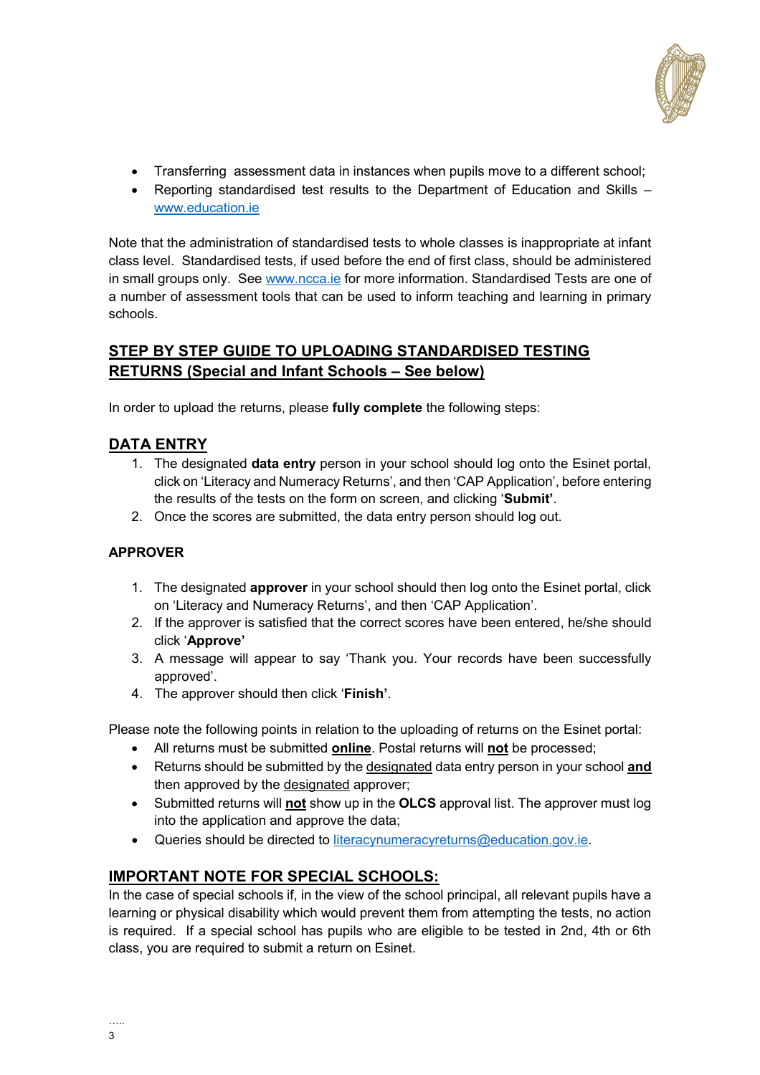

- Transferring assessment data in instances when pupils move to a different school;
- Reporting standardised test results to the Department of Education and Skills [www.education.ie](http://www.education.ie/)

Note that the administration of standardised tests to whole classes is inappropriate at infant class level. Standardised tests, if used before the end of first class, should be administered in small groups only. See [www.ncca.ie](http://www.ncca.ie/) for more information. Standardised Tests are one of a number of assessment tools that can be used to inform teaching and learning in primary schools.

## **STEP BY STEP GUIDE TO UPLOADING STANDARDISED TESTING RETURNS (Special and Infant Schools – See below)**

In order to upload the returns, please **fully complete** the following steps:

### **DATA ENTRY**

- 1. The designated **data entry** person in your school should log onto the Esinet portal, click on 'Literacy and Numeracy Returns', and then 'CAP Application', before entering the results of the tests on the form on screen, and clicking '**Submit'**.
- 2. Once the scores are submitted, the data entry person should log out.

#### **APPROVER**

- 1. The designated **approver** in your school should then log onto the Esinet portal, click on 'Literacy and Numeracy Returns', and then 'CAP Application'.
- 2. If the approver is satisfied that the correct scores have been entered, he/she should click '**Approve'**
- 3. A message will appear to say 'Thank you. Your records have been successfully approved'.
- 4. The approver should then click '**Finish'**.

Please note the following points in relation to the uploading of returns on the Esinet portal:

- All returns must be submitted **online**. Postal returns will **not** be processed;
- Returns should be submitted by the designated data entry person in your school **and** then approved by the designated approver;
- Submitted returns will **not** show up in the **OLCS** approval list. The approver must log into the application and approve the data;
- Queries should be directed to [literacynumeracyreturns@education.gov.ie.](mailto:literacynumeracyreturns@education.gov.ie)

### **IMPORTANT NOTE FOR SPECIAL SCHOOLS:**

In the case of special schools if, in the view of the school principal, all relevant pupils have a learning or physical disability which would prevent them from attempting the tests, no action is required. If a special school has pupils who are eligible to be tested in 2nd, 4th or 6th class, you are required to submit a return on Esinet.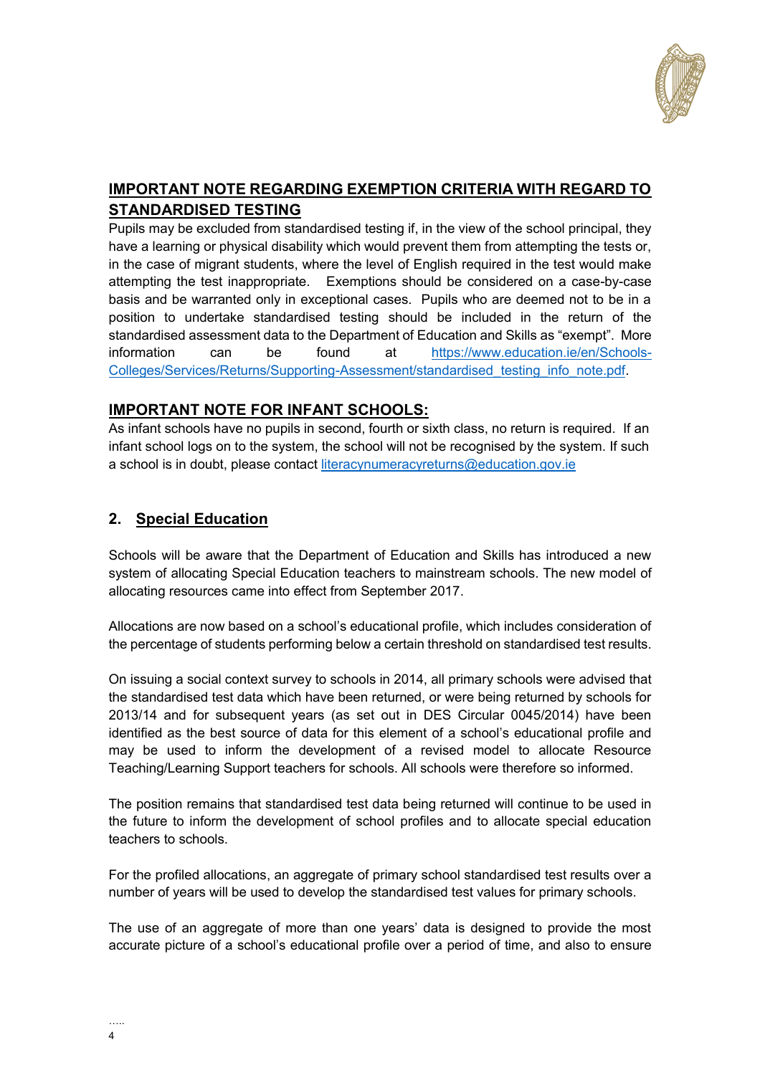

## **IMPORTANT NOTE REGARDING EXEMPTION CRITERIA WITH REGARD TO STANDARDISED TESTING**

Pupils may be excluded from standardised testing if, in the view of the school principal, they have a learning or physical disability which would prevent them from attempting the tests or, in the case of migrant students, where the level of English required in the test would make attempting the test inappropriate. Exemptions should be considered on a case-by-case basis and be warranted only in exceptional cases. Pupils who are deemed not to be in a position to undertake standardised testing should be included in the return of the standardised assessment data to the Department of Education and Skills as "exempt". More information can be found at [https://www.education.ie/en/Schools-](https://www.education.ie/en/Schools-Colleges/Services/Returns/Supporting-Assessment/standardised_testing_info_note.pdf)[Colleges/Services/Returns/Supporting-Assessment/standardised\\_testing\\_info\\_note.pdf.](https://www.education.ie/en/Schools-Colleges/Services/Returns/Supporting-Assessment/standardised_testing_info_note.pdf)

### **IMPORTANT NOTE FOR INFANT SCHOOLS:**

As infant schools have no pupils in second, fourth or sixth class, no return is required. If an infant school logs on to the system, the school will not be recognised by the system. If such a school is in doubt, please contact [literacynumeracyreturns@education.gov.ie](mailto:literacynumeracyreturns@education.gov.ie)

## <span id="page-3-0"></span>**2. Special Education**

Schools will be aware that the Department of Education and Skills has introduced a new system of allocating Special Education teachers to mainstream schools. The new model of allocating resources came into effect from September 2017.

Allocations are now based on a school's educational profile, which includes consideration of the percentage of students performing below a certain threshold on standardised test results.

On issuing a social context survey to schools in 2014, all primary schools were advised that the standardised test data which have been returned, or were being returned by schools for 2013/14 and for subsequent years (as set out in DES Circular 0045/2014) have been identified as the best source of data for this element of a school's educational profile and may be used to inform the development of a revised model to allocate Resource Teaching/Learning Support teachers for schools. All schools were therefore so informed.

The position remains that standardised test data being returned will continue to be used in the future to inform the development of school profiles and to allocate special education teachers to schools.

For the profiled allocations, an aggregate of primary school standardised test results over a number of years will be used to develop the standardised test values for primary schools.

The use of an aggregate of more than one years' data is designed to provide the most accurate picture of a school's educational profile over a period of time, and also to ensure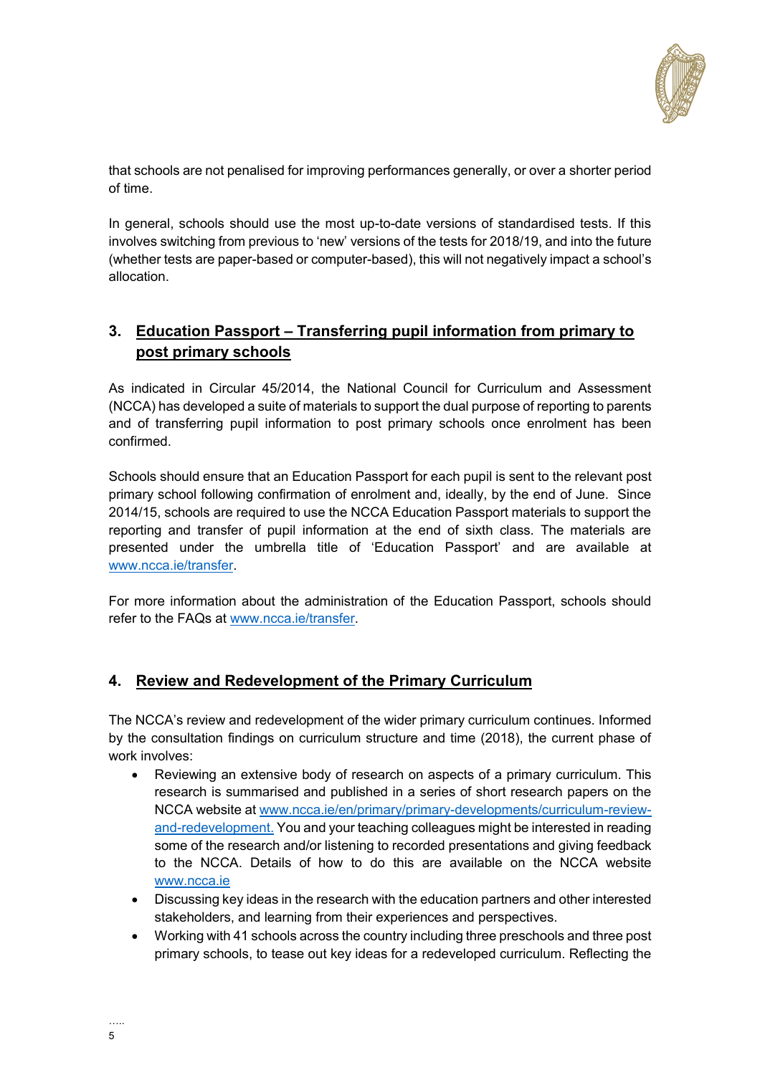

that schools are not penalised for improving performances generally, or over a shorter period of time.

In general, schools should use the most up-to-date versions of standardised tests. If this involves switching from previous to 'new' versions of the tests for 2018/19, and into the future (whether tests are paper-based or computer-based), this will not negatively impact a school's allocation.

### <span id="page-4-0"></span>**3. Education Passport – Transferring pupil information from primary to post primary schools**

As indicated in Circular 45/2014, the National Council for Curriculum and Assessment (NCCA) has developed a suite of materials to support the dual purpose of reporting to parents and of transferring pupil information to post primary schools once enrolment has been confirmed.

Schools should ensure that an Education Passport for each pupil is sent to the relevant post primary school following confirmation of enrolment and, ideally, by the end of June. Since 2014/15, schools are required to use the NCCA Education Passport materials to support the reporting and transfer of pupil information at the end of sixth class. The materials are presented under the umbrella title of 'Education Passport' and are available at [www.ncca.ie/transfer.](http://www.ncca.ie/transfer)

For more information about the administration of the Education Passport, schools should refer to the FAQs at [www.ncca.ie/transfer.](http://www.ncca.ie/transfer)

### <span id="page-4-1"></span>**4. Review and Redevelopment of the Primary Curriculum**

The NCCA's review and redevelopment of the wider primary curriculum continues. Informed by the consultation findings on curriculum structure and time (2018), the current phase of work involves:

- Reviewing an extensive body of research on aspects of a primary curriculum. This research is summarised and published in a series of short research papers on the NCCA website at [www.ncca.ie/en/primary/primary-developments/curriculum-review](http://www.ncca.ie/en/primary/primary-developments/curriculum-review-and-redevelopment.)[and-redevelopment.](http://www.ncca.ie/en/primary/primary-developments/curriculum-review-and-redevelopment.) You and your teaching colleagues might be interested in reading some of the research and/or listening to recorded presentations and giving feedback to the NCCA. Details of how to do this are available on the NCCA website [www.ncca.ie](http://www.ncca.ie/)
- Discussing key ideas in the research with the education partners and other interested stakeholders, and learning from their experiences and perspectives.
- Working with 41 schools across the country including three preschools and three post primary schools, to tease out key ideas for a redeveloped curriculum. Reflecting the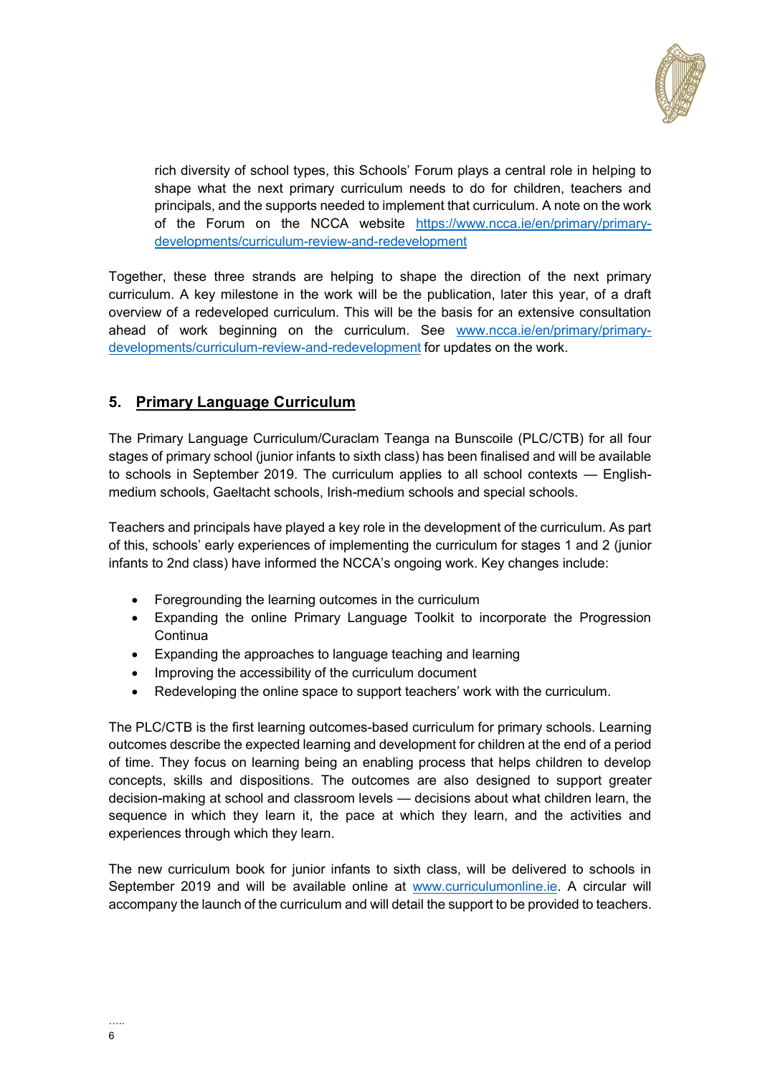

rich diversity of school types, this Schools' Forum plays a central role in helping to shape what the next primary curriculum needs to do for children, teachers and principals, and the supports needed to implement that curriculum. A note on the work of the Forum on the NCCA website [https://www.ncca.ie/en/primary/primary](https://www.ncca.ie/en/primary/primary-developments/curriculum-review-and-redevelopment)[developments/curriculum-review-and-redevelopment](https://www.ncca.ie/en/primary/primary-developments/curriculum-review-and-redevelopment)

Together, these three strands are helping to shape the direction of the next primary curriculum. A key milestone in the work will be the publication, later this year, of a draft overview of a redeveloped curriculum. This will be the basis for an extensive consultation ahead of work beginning on the curriculum. See [www.ncca.ie/en/primary/primary](http://www.ncca.ie/en/primary/primary-developments/curriculum-review-and-redevelopment)[developments/curriculum-review-and-redevelopment](http://www.ncca.ie/en/primary/primary-developments/curriculum-review-and-redevelopment) for updates on the work.

### <span id="page-5-0"></span>**5. Primary Language Curriculum**

The Primary Language Curriculum/Curaclam Teanga na Bunscoile (PLC/CTB) for all four stages of primary school (junior infants to sixth class) has been finalised and will be available to schools in September 2019. The curriculum applies to all school contexts — Englishmedium schools, Gaeltacht schools, Irish-medium schools and special schools.

Teachers and principals have played a key role in the development of the curriculum. As part of this, schools' early experiences of implementing the curriculum for stages 1 and 2 (junior infants to 2nd class) have informed the NCCA's ongoing work. Key changes include:

- Foregrounding the learning outcomes in the curriculum
- Expanding the online Primary Language Toolkit to incorporate the Progression **Continua**
- Expanding the approaches to language teaching and learning
- Improving the accessibility of the curriculum document
- Redeveloping the online space to support teachers' work with the curriculum.

The PLC/CTB is the first learning outcomes-based curriculum for primary schools. Learning outcomes describe the expected learning and development for children at the end of a period of time. They focus on learning being an enabling process that helps children to develop concepts, skills and dispositions. The outcomes are also designed to support greater decision-making at school and classroom levels — decisions about what children learn, the sequence in which they learn it, the pace at which they learn, and the activities and experiences through which they learn.

The new curriculum book for junior infants to sixth class, will be delivered to schools in September 2019 and will be available online at [www.curriculumonline.ie.](http://www.curriculumonline.ie/) A circular will accompany the launch of the curriculum and will detail the support to be provided to teachers.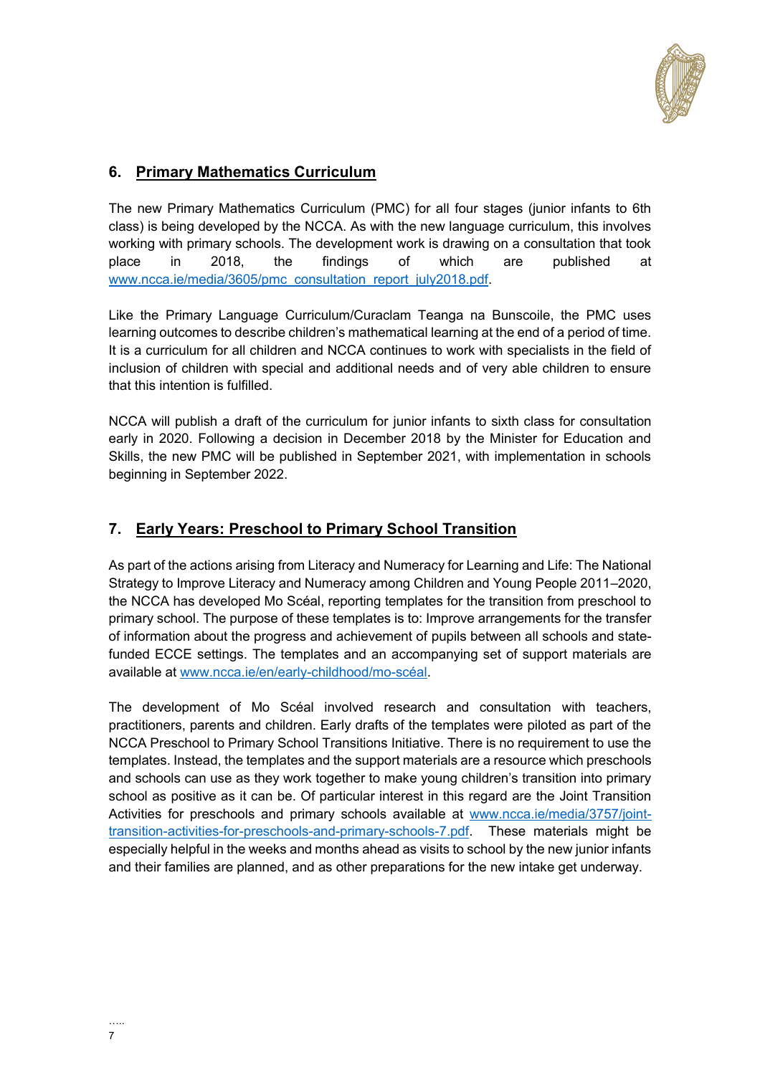

## <span id="page-6-0"></span>**6. Primary Mathematics Curriculum**

The new Primary Mathematics Curriculum (PMC) for all four stages (junior infants to 6th class) is being developed by the NCCA. As with the new language curriculum, this involves working with primary schools. The development work is drawing on a consultation that took place in 2018, the findings of which are published at [www.ncca.ie/media/3605/pmc\\_consultation\\_report\\_july2018.pdf.](http://www.ncca.ie/media/3605/pmc_consultation_report_july2018.pdf)

Like the Primary Language Curriculum/Curaclam Teanga na Bunscoile, the PMC uses learning outcomes to describe children's mathematical learning at the end of a period of time. It is a curriculum for all children and NCCA continues to work with specialists in the field of inclusion of children with special and additional needs and of very able children to ensure that this intention is fulfilled.

NCCA will publish a draft of the curriculum for junior infants to sixth class for consultation early in 2020. Following a decision in December 2018 by the Minister for Education and Skills, the new PMC will be published in September 2021, with implementation in schools beginning in September 2022.

#### <span id="page-6-1"></span>**7. Early Years: Preschool to Primary School Transition**

As part of the actions arising from Literacy and Numeracy for Learning and Life: The National Strategy to Improve Literacy and Numeracy among Children and Young People 2011–2020, the NCCA has developed Mo Scéal, reporting templates for the transition from preschool to primary school. The purpose of these templates is to: Improve arrangements for the transfer of information about the progress and achievement of pupils between all schools and statefunded ECCE settings. The templates and an accompanying set of support materials are available at [www.ncca.ie/en/early-childhood/mo-scéal.](http://www.ncca.ie/en/early-childhood/mo-scéal)

The development of Mo Scéal involved research and consultation with teachers, practitioners, parents and children. Early drafts of the templates were piloted as part of the NCCA Preschool to Primary School Transitions Initiative. There is no requirement to use the templates. Instead, the templates and the support materials are a resource which preschools and schools can use as they work together to make young children's transition into primary school as positive as it can be. Of particular interest in this regard are the Joint Transition Activities for preschools and primary schools available at [www.ncca.ie/media/3757/joint](http://www.ncca.ie/media/3757/joint-transition-activities-for-preschools-and-primary-schools-7.pdf)[transition-activities-for-preschools-and-primary-schools-7.pdf.](http://www.ncca.ie/media/3757/joint-transition-activities-for-preschools-and-primary-schools-7.pdf) These materials might be especially helpful in the weeks and months ahead as visits to school by the new junior infants and their families are planned, and as other preparations for the new intake get underway.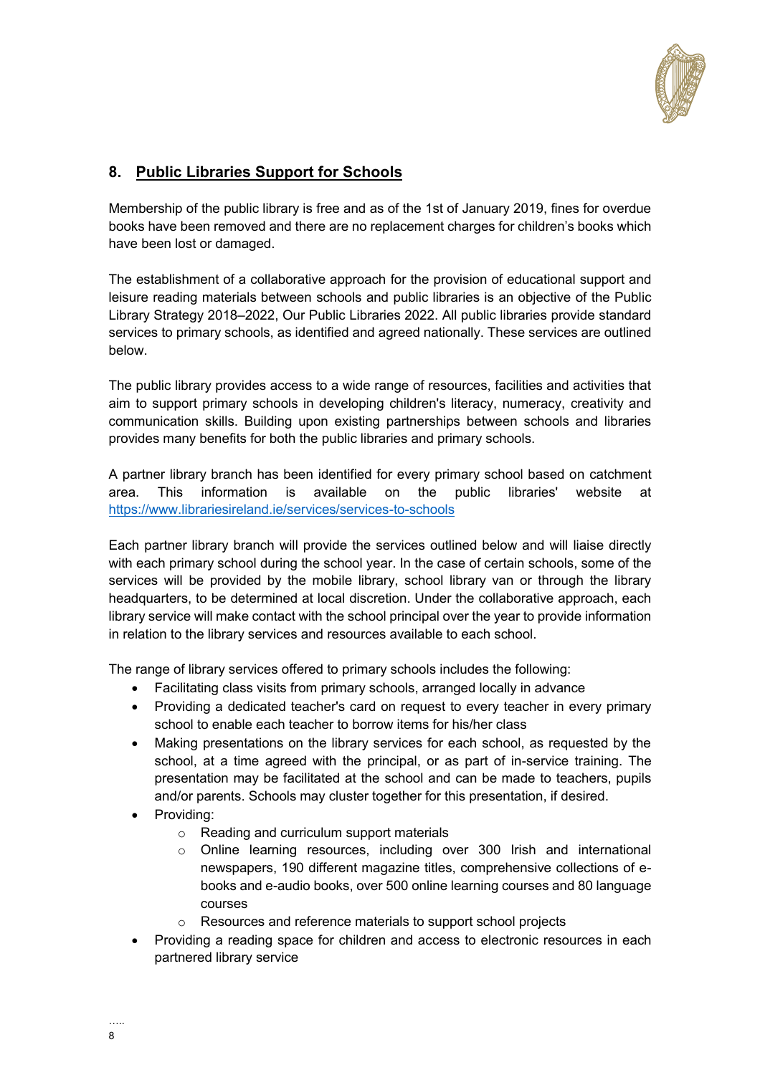

## <span id="page-7-0"></span>**8. Public Libraries Support for Schools**

Membership of the public library is free and as of the 1st of January 2019, fines for overdue books have been removed and there are no replacement charges for children's books which have been lost or damaged.

The establishment of a collaborative approach for the provision of educational support and leisure reading materials between schools and public libraries is an objective of the Public Library Strategy 2018–2022, Our Public Libraries 2022. All public libraries provide standard services to primary schools, as identified and agreed nationally. These services are outlined below.

The public library provides access to a wide range of resources, facilities and activities that aim to support primary schools in developing children's literacy, numeracy, creativity and communication skills. Building upon existing partnerships between schools and libraries provides many benefits for both the public libraries and primary schools.

A partner library branch has been identified for every primary school based on catchment area. This information is available on the public libraries' website at <https://www.librariesireland.ie/services/services-to-schools>

Each partner library branch will provide the services outlined below and will liaise directly with each primary school during the school year. In the case of certain schools, some of the services will be provided by the mobile library, school library van or through the library headquarters, to be determined at local discretion. Under the collaborative approach, each library service will make contact with the school principal over the year to provide information in relation to the library services and resources available to each school.

The range of library services offered to primary schools includes the following:

- Facilitating class visits from primary schools, arranged locally in advance
- Providing a dedicated teacher's card on request to every teacher in every primary school to enable each teacher to borrow items for his/her class
- Making presentations on the library services for each school, as requested by the school, at a time agreed with the principal, or as part of in-service training. The presentation may be facilitated at the school and can be made to teachers, pupils and/or parents. Schools may cluster together for this presentation, if desired.
- Providing:
	- o Reading and curriculum support materials
	- o Online learning resources, including over 300 Irish and international newspapers, 190 different magazine titles, comprehensive collections of ebooks and e-audio books, over 500 online learning courses and 80 language courses
	- o Resources and reference materials to support school projects
- Providing a reading space for children and access to electronic resources in each partnered library service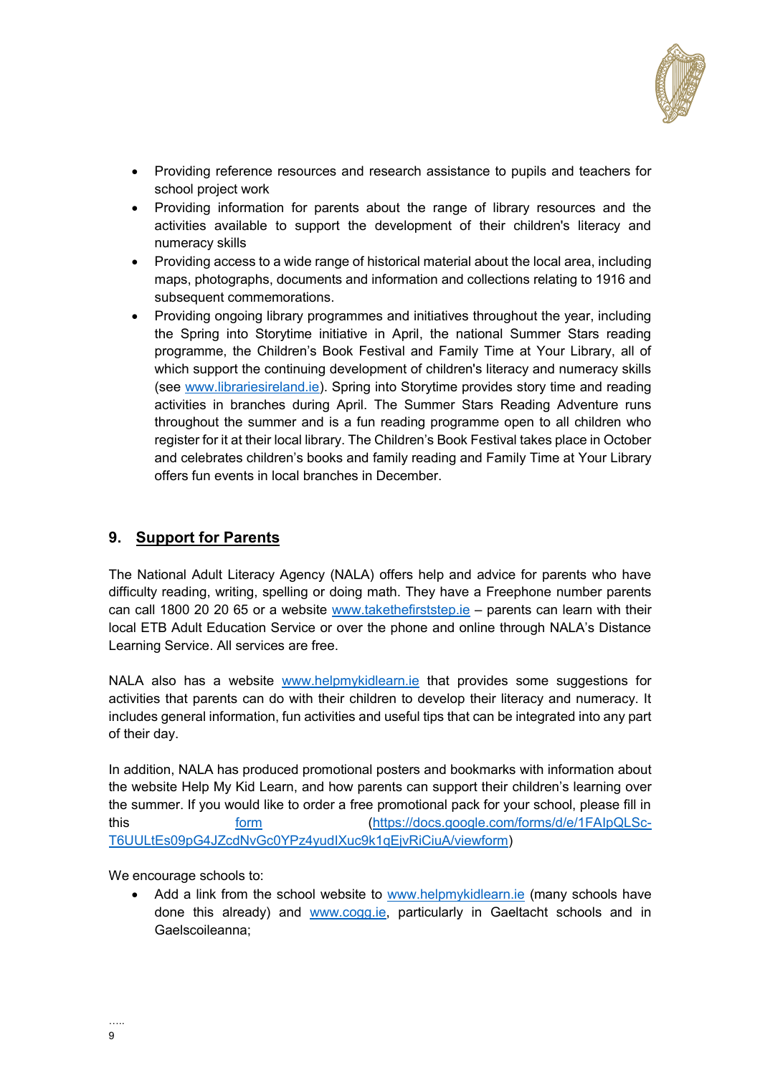

- Providing reference resources and research assistance to pupils and teachers for school project work
- Providing information for parents about the range of library resources and the activities available to support the development of their children's literacy and numeracy skills
- Providing access to a wide range of historical material about the local area, including maps, photographs, documents and information and collections relating to 1916 and subsequent commemorations.
- Providing ongoing library programmes and initiatives throughout the year, including the Spring into Storytime initiative in April, the national Summer Stars reading programme, the Children's Book Festival and Family Time at Your Library, all of which support the continuing development of children's literacy and numeracy skills (see [www.librariesireland.ie\)](http://www.librariesireland.ie/). Spring into Storytime provides story time and reading activities in branches during April. The Summer Stars Reading Adventure runs throughout the summer and is a fun reading programme open to all children who register for it at their local library. The Children's Book Festival takes place in October and celebrates children's books and family reading and Family Time at Your Library offers fun events in local branches in December.

#### <span id="page-8-0"></span>**9. Support for Parents**

The National Adult Literacy Agency (NALA) offers help and advice for parents who have difficulty reading, writing, spelling or doing math. They have a Freephone number parents can call 1800 20 20 65 or a website [www.takethefirststep.ie](http://www.takethefirststep.ie/) - parents can learn with their local ETB Adult Education Service or over the phone and online through NALA's Distance Learning Service. All services are free.

NALA also has a website [www.helpmykidlearn.ie](http://www.helpmykidlearn.ie/) that provides some suggestions for activities that parents can do with their children to develop their literacy and numeracy. It includes general information, fun activities and useful tips that can be integrated into any part of their day.

In addition, NALA has produced promotional posters and bookmarks with information about the website Help My Kid Learn, and how parents can support their children's learning over the summer. If you would like to order a free promotional pack for your school, please fill in this [form](https://docs.google.com/forms/d/e/1FAIpQLSc-T6UULtEs09pG4JZcdNvGc0YPz4yudIXuc9k1qEjvRiCiuA/viewform) [\(https://docs.google.com/forms/d/e/1FAIpQLSc-](https://docs.google.com/forms/d/e/1FAIpQLSc-T6UULtEs09pG4JZcdNvGc0YPz4yudIXuc9k1qEjvRiCiuA/viewform)[T6UULtEs09pG4JZcdNvGc0YPz4yudIXuc9k1qEjvRiCiuA/viewform\)](https://docs.google.com/forms/d/e/1FAIpQLSc-T6UULtEs09pG4JZcdNvGc0YPz4yudIXuc9k1qEjvRiCiuA/viewform)

We encourage schools to:

 Add a link from the school website to [www.helpmykidlearn.ie](http://www.helpmykidlearn.ie/) (many schools have done this already) and [www.cogg.ie,](http://www.cogg.ie/) particularly in Gaeltacht schools and in Gaelscoileanna;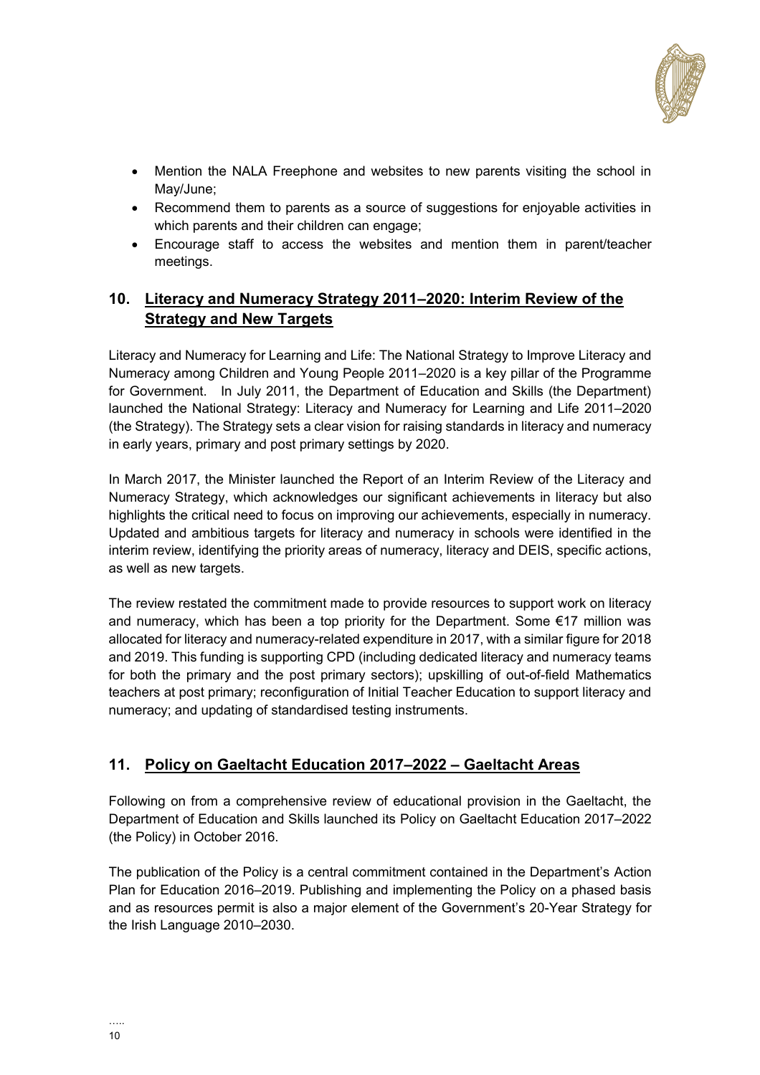

- Mention the NALA Freephone and websites to new parents visiting the school in May/June;
- Recommend them to parents as a source of suggestions for enjoyable activities in which parents and their children can engage;
- Encourage staff to access the websites and mention them in parent/teacher meetings.

### <span id="page-9-0"></span>**10. Literacy and Numeracy Strategy 2011–2020: Interim Review of the Strategy and New Targets**

Literacy and Numeracy for Learning and Life: The National Strategy to Improve Literacy and Numeracy among Children and Young People 2011–2020 is a key pillar of the Programme for Government. In July 2011, the Department of Education and Skills (the Department) launched the National Strategy: Literacy and Numeracy for Learning and Life 2011–2020 (the Strategy). The Strategy sets a clear vision for raising standards in literacy and numeracy in early years, primary and post primary settings by 2020.

In March 2017, the Minister launched the Report of an Interim Review of the Literacy and Numeracy Strategy, which acknowledges our significant achievements in literacy but also highlights the critical need to focus on improving our achievements, especially in numeracy. Updated and ambitious targets for literacy and numeracy in schools were identified in the interim review, identifying the priority areas of numeracy, literacy and DEIS, specific actions, as well as new targets.

The review restated the commitment made to provide resources to support work on literacy and numeracy, which has been a top priority for the Department. Some €17 million was allocated for literacy and numeracy-related expenditure in 2017, with a similar figure for 2018 and 2019. This funding is supporting CPD (including dedicated literacy and numeracy teams for both the primary and the post primary sectors); upskilling of out-of-field Mathematics teachers at post primary; reconfiguration of Initial Teacher Education to support literacy and numeracy; and updating of standardised testing instruments.

### <span id="page-9-1"></span>**11. Policy on Gaeltacht Education 2017–2022 – Gaeltacht Areas**

Following on from a comprehensive review of educational provision in the Gaeltacht, the Department of Education and Skills launched its [Policy on Gaeltacht Education 2017](https://www.education.ie/en/Publications/Policy-Reports/Policy-on-Gaeltacht-Education-2017-2022.pdf)–2022 (the Policy) in October 2016.

The publication of the Policy is a central commitment contained in the Department's [Action](https://www.education.ie/en/Publications/Corporate-Reports/Strategy-Statement/Department-of-Education-and-Skills-Strategy-Statement-2016-2019.pdf)  [Plan for Education 2016](https://www.education.ie/en/Publications/Corporate-Reports/Strategy-Statement/Department-of-Education-and-Skills-Strategy-Statement-2016-2019.pdf)–2019. Publishing and implementing the Policy on a phased basis and as resources permit is also a major element of the Government's [20-Year Strategy for](http://www.ahrrga.gov.ie/app/uploads/2015/07/20-Year-Strategy-English-version.pdf)  [the Irish Language 2010](http://www.ahrrga.gov.ie/app/uploads/2015/07/20-Year-Strategy-English-version.pdf)–2030.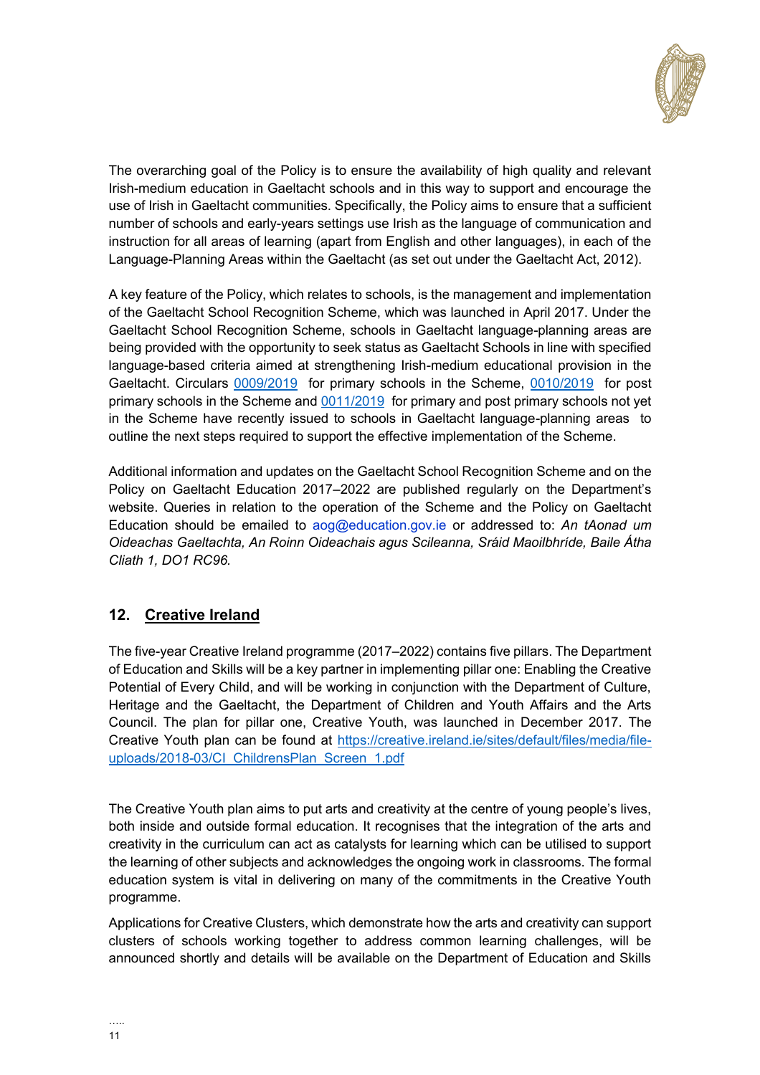

The overarching goal of the Policy is to ensure the availability of high quality and relevant Irish-medium education in Gaeltacht schools and in this way to support and encourage the use of Irish in Gaeltacht communities. Specifically, the Policy aims to ensure that a sufficient number of schools and early-years settings use Irish as the language of communication and instruction for all areas of learning (apart from English and other languages), in each of the Language-Planning Areas within the Gaeltacht (as set out under the Gaeltacht Act, 2012).

A key feature of the Policy, which relates to schools, is the management and implementation of the Gaeltacht School Recognition Scheme, which was launched in April 2017. Under the Gaeltacht School Recognition Scheme, schools in Gaeltacht language-planning areas are being provided with the opportunity to seek status as Gaeltacht Schools in line with specified language-based criteria aimed at strengthening Irish-medium educational provision in the Gaeltacht. Circulars [0009/2019](https://www.education.ie/en/Circulars-and-Forms/Active-Circulars/cl0009_2019.pdf) for primary schools in the Scheme, [0010/2019](https://www.education.ie/en/Circulars-and-Forms/Active-Circulars/cl0010_2019.pdf) for post primary schools in the Scheme and [0011/2019](https://www.education.ie/en/Circulars-and-Forms/Active-Circulars/cl0011_2019.pdf) for primary and post primary schools not yet in the Scheme have recently issued to schools in Gaeltacht language-planning areas to outline the next steps required to support the effective implementation of the Scheme.

Additional information and updates on the Gaeltacht School Recognition Scheme and on the Policy on Gaeltacht Education 2017–2022 are published regularly on the Department's website. Queries in relation to the operation of the Scheme and the Policy on Gaeltacht Education should be emailed to [aog@education.gov.ie](mailto:aog@education.gov.ie) or addressed to: *An tAonad um Oideachas Gaeltachta, An Roinn Oideachais agus Scileanna, Sráid Maoilbhríde, Baile Átha Cliath 1, DO1 RC96.*

### <span id="page-10-0"></span>**12. Creative Ireland**

The five-year Creative Ireland programme (2017–2022) contains five pillars. The Department of Education and Skills will be a key partner in implementing pillar one: Enabling the Creative Potential of Every Child, and will be working in conjunction with the Department of Culture, Heritage and the Gaeltacht, the Department of Children and Youth Affairs and the Arts Council. The plan for pillar one, Creative Youth, was launched in December 2017. The Creative Youth plan can be found at [https://creative.ireland.ie/sites/default/files/media/file](https://creative.ireland.ie/sites/default/files/media/file-uploads/2018-03/CI_ChildrensPlan_Screen_1.pdf)[uploads/2018-03/CI\\_ChildrensPlan\\_Screen\\_1.pdf](https://creative.ireland.ie/sites/default/files/media/file-uploads/2018-03/CI_ChildrensPlan_Screen_1.pdf)

The Creative Youth plan aims to put arts and creativity at the centre of young people's lives, both inside and outside formal education. It recognises that the integration of the arts and creativity in the curriculum can act as catalysts for learning which can be utilised to support the learning of other subjects and acknowledges the ongoing work in classrooms. The formal education system is vital in delivering on many of the commitments in the Creative Youth programme.

Applications for Creative Clusters, which demonstrate how the arts and creativity can support clusters of schools working together to address common learning challenges, will be announced shortly and details will be available on the Department of Education and Skills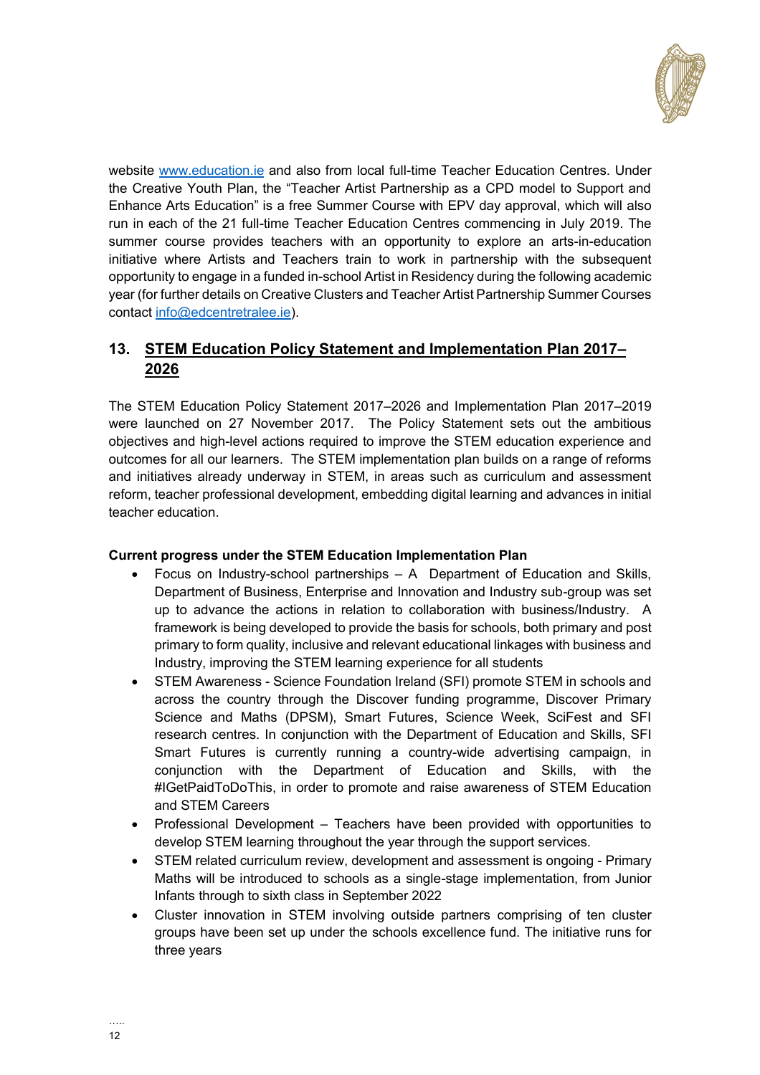

website [www.education.ie](http://www.education.ie/) and also from local full-time Teacher Education Centres. Under the Creative Youth Plan, the "Teacher Artist Partnership as a CPD model to Support and Enhance Arts Education" is a free Summer Course with EPV day approval, which will also run in each of the 21 full-time Teacher Education Centres commencing in July 2019. The summer course provides teachers with an opportunity to explore an arts-in-education initiative where Artists and Teachers train to work in partnership with the subsequent opportunity to engage in a funded in-school Artist in Residency during the following academic year (for further details on Creative Clusters and Teacher Artist Partnership Summer Courses contact [info@edcentretralee.ie\)](mailto:info@edcentretralee.ie).

## <span id="page-11-0"></span>**13. STEM Education Policy Statement and Implementation Plan 2017– 2026**

The STEM Education Policy Statement 2017–2026 and Implementation Plan 2017–2019 were launched on 27 November 2017. The Policy Statement sets out the ambitious objectives and high-level actions required to improve the STEM education experience and outcomes for all our learners. The STEM implementation plan builds on a range of reforms and initiatives already underway in STEM, in areas such as curriculum and assessment reform, teacher professional development, embedding digital learning and advances in initial teacher education.

#### **Current progress under the STEM Education Implementation Plan**

- Focus on Industry-school partnerships A Department of Education and Skills, Department of Business, Enterprise and Innovation and Industry sub-group was set up to advance the actions in relation to collaboration with business/Industry. A framework is being developed to provide the basis for schools, both primary and post primary to form quality, inclusive and relevant educational linkages with business and Industry, improving the STEM learning experience for all students
- STEM Awareness Science Foundation Ireland (SFI) promote STEM in schools and across the country through the Discover funding programme, Discover Primary Science and Maths (DPSM), Smart Futures, Science Week, SciFest and SFI research centres. In conjunction with the Department of Education and Skills, SFI Smart Futures is currently running a country-wide advertising campaign, in conjunction with the Department of Education and Skills, with the #IGetPaidToDoThis, in order to promote and raise awareness of STEM Education and STEM Careers
- Professional Development Teachers have been provided with opportunities to develop STEM learning throughout the year through the support services.
- STEM related curriculum review, development and assessment is ongoing Primary Maths will be introduced to schools as a single-stage implementation, from Junior Infants through to sixth class in September 2022
- Cluster innovation in STEM involving outside partners comprising of ten cluster groups have been set up under the schools excellence fund. The initiative runs for three years